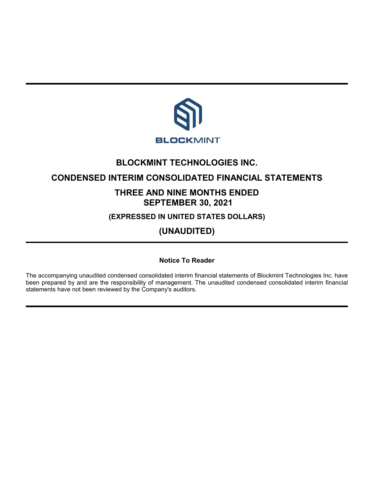

# **BLOCKMINT TECHNOLOGIES INC.**

# **CONDENSED INTERIM CONSOLIDATED FINANCIAL STATEMENTS**

# **THREE AND NINE MONTHS ENDED SEPTEMBER 30, 2021**

**(EXPRESSED IN UNITED STATES DOLLARS)**

**(UNAUDITED)**

**Notice To Reader**

The accompanying unaudited condensed consolidated interim financial statements of Blockmint Technologies Inc. have been prepared by and are the responsibility of management. The unaudited condensed consolidated interim financial statements have not been reviewed by the Company's auditors.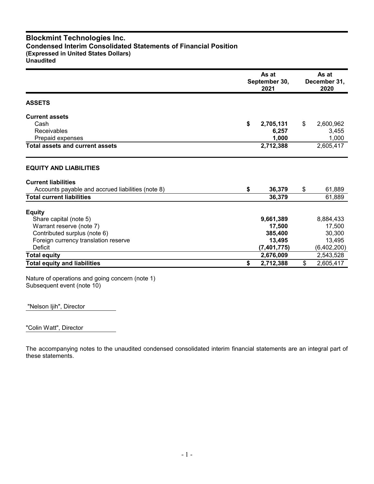# **Blockmint Technologies Inc. Condensed Interim Consolidated Statements of Financial Position (Expressed in United States Dollars) Unaudited**

|                                                   | As at<br>September 30,<br>2021 |               |    | As at<br>December 31,<br>2020 |
|---------------------------------------------------|--------------------------------|---------------|----|-------------------------------|
| <b>ASSETS</b>                                     |                                |               |    |                               |
| <b>Current assets</b>                             |                                |               |    |                               |
| Cash                                              | \$                             | 2,705,131     | \$ | 2,600,962                     |
| Receivables                                       |                                | 6,257         |    | 3,455                         |
| Prepaid expenses                                  |                                | 1,000         |    | 1,000                         |
| <b>Total assets and current assets</b>            |                                | 2,712,388     |    | 2,605,417                     |
| <b>EQUITY AND LIABILITIES</b>                     |                                |               |    |                               |
| <b>Current liabilities</b>                        |                                |               |    |                               |
| Accounts payable and accrued liabilities (note 8) | \$                             | 36,379        | \$ | 61,889                        |
| <b>Total current liabilities</b>                  |                                | 36,379        |    | 61,889                        |
| <b>Equity</b>                                     |                                |               |    |                               |
| Share capital (note 5)                            |                                | 9,661,389     |    | 8,884,433                     |
| Warrant reserve (note 7)                          |                                | 17,500        |    | 17,500                        |
| Contributed surplus (note 6)                      |                                | 385,400       |    | 30,300                        |
| Foreign currency translation reserve              |                                | 13,495        |    | 13,495                        |
| Deficit                                           |                                | (7, 401, 775) |    | (6,402,200)                   |
| <b>Total equity</b>                               |                                | 2,676,009     |    | 2,543,528                     |
| <b>Total equity and liabilities</b>               | \$                             | 2,712,388     | \$ | 2,605,417                     |

Nature of operations and going concern (note 1) Subsequent event (note 10)

"Nelson Ijih", Director

"Colin Watt", Director

The accompanying notes to the unaudited condensed consolidated interim financial statements are an integral part of these statements.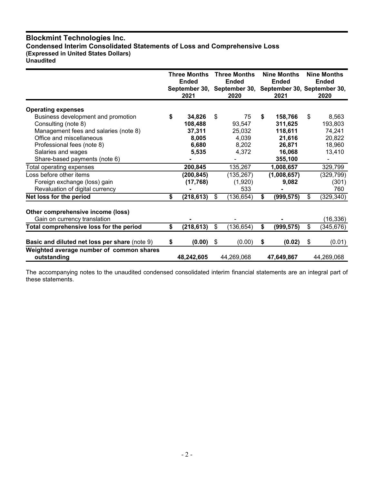# **Blockmint Technologies Inc. Condensed Interim Consolidated Statements of Loss and Comprehensive Loss (Expressed in United States Dollars) Unaudited**

|                                                         | Three Months<br><b>Ended</b><br>2021 |            | <b>Three Months</b><br><b>Ended</b><br>September 30, September 30, September 30, September 30,<br>2020 |            |    | <b>Nine Months</b><br><b>Ended</b><br>2021 | <b>Nine Months</b><br><b>Ended</b><br>2020 |
|---------------------------------------------------------|--------------------------------------|------------|--------------------------------------------------------------------------------------------------------|------------|----|--------------------------------------------|--------------------------------------------|
| <b>Operating expenses</b>                               |                                      |            |                                                                                                        |            |    |                                            |                                            |
| Business development and promotion                      | \$                                   | 34,826     | \$                                                                                                     | 75         | S  | 158,766                                    | \$<br>8,563                                |
| Consulting (note 8)                                     |                                      | 108,488    |                                                                                                        | 93,547     |    | 311,625                                    | 193,803                                    |
| Management fees and salaries (note 8)                   |                                      | 37,311     |                                                                                                        | 25,032     |    | 118,611                                    | 74,241                                     |
| Office and miscellaneous                                |                                      | 8,005      |                                                                                                        | 4,039      |    | 21,616                                     | 20,822                                     |
| Professional fees (note 8)                              |                                      | 6,680      |                                                                                                        | 8,202      |    | 26,871                                     | 18,960                                     |
| Salaries and wages                                      |                                      | 5,535      |                                                                                                        | 4,372      |    | 16,068                                     | 13,410                                     |
| Share-based payments (note 6)                           |                                      |            |                                                                                                        |            |    | 355,100                                    |                                            |
| Total operating expenses                                |                                      | 200,845    |                                                                                                        | 135,267    |    | 1,008,657                                  | 329,799                                    |
| Loss before other items                                 |                                      | (200, 845) |                                                                                                        | (135, 267) |    | (1,008,657)                                | (329, 799)                                 |
| Foreign exchange (loss) gain                            |                                      | (17, 768)  |                                                                                                        | (1,920)    |    | 9,082                                      | (301)                                      |
| Revaluation of digital currency                         |                                      |            |                                                                                                        | 533        |    |                                            | 760                                        |
| Net loss for the period                                 | \$                                   | (218, 613) | \$                                                                                                     | (136, 654) | \$ | (999, 575)                                 | \$<br>(329, 340)                           |
| Other comprehensive income (loss)                       |                                      |            |                                                                                                        |            |    |                                            |                                            |
| Gain on currency translation                            |                                      |            |                                                                                                        |            |    |                                            | (16,336)                                   |
| Total comprehensive loss for the period                 | \$                                   | (218, 613) | \$                                                                                                     | (136, 654) | \$ | (999, 575)                                 | \$<br>(345, 676)                           |
| Basic and diluted net loss per share (note 9)           | \$                                   | (0.00)     | \$                                                                                                     | (0.00)     | \$ | (0.02)                                     | \$<br>(0.01)                               |
| Weighted average number of common shares<br>outstanding |                                      | 48,242,605 |                                                                                                        | 44,269,068 |    | 47,649,867                                 | 44,269,068                                 |

The accompanying notes to the unaudited condensed consolidated interim financial statements are an integral part of these statements.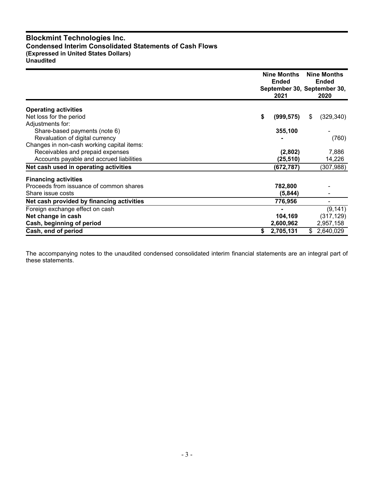# **Blockmint Technologies Inc. Condensed Interim Consolidated Statements of Cash Flows (Expressed in United States Dollars) Unaudited**

|                                            | Nine Months<br><b>Ended</b><br>2021 | <b>Nine Months</b><br><b>Ended</b><br>September 30, September 30,<br>2020 |
|--------------------------------------------|-------------------------------------|---------------------------------------------------------------------------|
| <b>Operating activities</b>                |                                     |                                                                           |
| Net loss for the period                    | \$<br>(999, 575)                    | (329, 340)<br>\$                                                          |
| Adjustments for:                           |                                     |                                                                           |
| Share-based payments (note 6)              | 355,100                             |                                                                           |
| Revaluation of digital currency            |                                     | (760)                                                                     |
| Changes in non-cash working capital items: |                                     |                                                                           |
| Receivables and prepaid expenses           | (2,802)                             | 7,886                                                                     |
| Accounts payable and accrued liabilities   | (25, 510)                           | 14,226                                                                    |
| Net cash used in operating activities      | (672, 787)                          | (307, 988)                                                                |
| <b>Financing activities</b>                |                                     |                                                                           |
| Proceeds from issuance of common shares    | 782,800                             |                                                                           |
| Share issue costs                          | (5, 844)                            |                                                                           |
| Net cash provided by financing activities  | 776,956                             |                                                                           |
| Foreign exchange effect on cash            |                                     | (9, 141)                                                                  |
| Net change in cash                         | 104,169                             | (317, 129)                                                                |
| Cash, beginning of period                  | 2,600,962                           | 2,957,158                                                                 |
| Cash, end of period                        | 2,705,131                           | 2,640,029<br>\$                                                           |

The accompanying notes to the unaudited condensed consolidated interim financial statements are an integral part of these statements.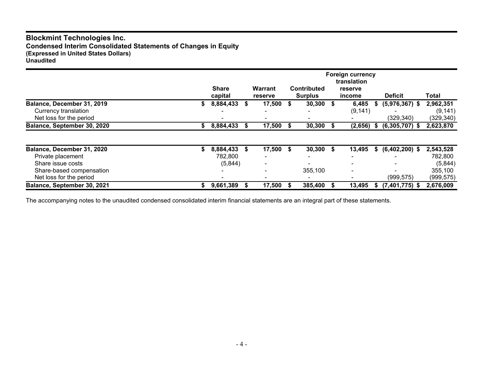# **Blockmint Technologies Inc. Condensed Interim Consolidated Statements of Changes in Equity (Expressed in United States Dollars) Unaudited**

|                                                 |    | <b>Share</b><br>capital | <b>Warrant</b><br><b>reserve</b> |      | <b>Contributed</b><br><b>Surplus</b> |   | <b>Foreign currency</b><br>translation<br>reserve<br>income |      | <b>Deficit</b>   | Total                  |
|-------------------------------------------------|----|-------------------------|----------------------------------|------|--------------------------------------|---|-------------------------------------------------------------|------|------------------|------------------------|
| Balance, December 31, 2019                      |    | 8,884,433               | 17,500                           | - \$ | 30,300                               | S | 6,485                                                       | S    | $(5,976,367)$ \$ | 2,962,351              |
| Currency translation<br>Net loss for the period |    |                         |                                  |      |                                      |   | (9, 141)                                                    |      | (329, 340)       | (9, 141)<br>(329, 340) |
| Balance, September 30, 2020                     | S. | 8,884,433               | 17,500 \$                        |      | 30,300                               |   | (2,656)                                                     | - \$ | $(6,305,707)$ \$ | 2,623,870              |
|                                                 |    |                         |                                  |      |                                      |   |                                                             |      |                  |                        |
| Balance, December 31, 2020                      |    | 8,884,433               | \$<br>$17,500$ \$                |      | 30,300                               | S | 13,495                                                      | S.   | $(6,402,200)$ \$ | 2,543,528              |
| Private placement                               |    | 782,800                 |                                  |      |                                      |   |                                                             |      |                  | 782,800                |
| Share issue costs                               |    | (5,844)                 |                                  |      |                                      |   |                                                             |      |                  | (5,844)                |
| Share-based compensation                        |    |                         |                                  |      | 355,100                              |   | $\,$ $\,$                                                   |      |                  | 355,100                |
| Net loss for the period                         |    |                         |                                  |      |                                      |   |                                                             |      | (999, 575)       | (999, 575)             |
| Balance, September 30, 2021                     |    | 9,661,389               | 17,500                           |      | 385,400                              |   | 13,495                                                      | S.   | $(7,401,775)$ \$ | 2,676,009              |

The accompanying notes to the unaudited condensed consolidated interim financial statements are an integral part of these statements.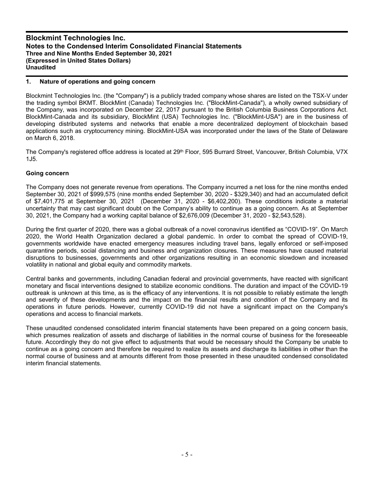### **1. Nature of operations and going concern**

Blockmint Technologies Inc. (the "Company") is a publicly traded company whose shares are listed on the TSX-V under the trading symbol BKMT. BlockMint (Canada) Technologies Inc. ("BlockMint-Canada"), a wholly owned subsidiary of the Company, was incorporated on December 22, 2017 pursuant to the British Columbia Business Corporations Act. BlockMint-Canada and its subsidiary, BlockMint (USA) Technologies Inc. ("BlockMint-USA") are in the business of developing distributed systems and networks that enable a more decentralized deployment of blockchain based applications such as cryptocurrency mining. BlockMint-USA was incorporated under the laws of the State of Delaware on March 6, 2018.

The Company's registered office address is located at 29<sup>th</sup> Floor, 595 Burrard Street, Vancouver, British Columbia, V7X 1J5.

### **Going concern**

The Company does not generate revenue from operations. The Company incurred a net loss for the nine months ended September 30, 2021 of \$999,575 (nine months ended September 30, 2020 - \$329,340) and had an accumulated deficit of \$7,401,775 at September 30, 2021 (December 31, 2020 - \$6,402,200). These conditions indicate a material uncertainty that may cast significant doubt on the Company's ability to continue as a going concern. As at September 30, 2021, the Company had a working capital balance of \$2,676,009 (December 31, 2020 - \$2,543,528).

During the first quarter of 2020, there was a global outbreak of a novel coronavirus identified as "COVID-19". On March 2020, the World Health Organization declared a global pandemic. In order to combat the spread of COVID-19, governments worldwide have enacted emergency measures including travel bans, legally enforced or self-imposed quarantine periods, social distancing and business and organization closures. These measures have caused material disruptions to businesses, governments and other organizations resulting in an economic slowdown and increased volatility in national and global equity and commodity markets.

Central banks and governments, including Canadian federal and provincial governments, have reacted with significant monetary and fiscal interventions designed to stabilize economic conditions. The duration and impact of the COVID-19 outbreak is unknown at this time, as is the efficacy of any interventions. It is not possible to reliably estimate the length and severity of these developments and the impact on the financial results and condition of the Company and its operations in future periods. However, currently COVID-19 did not have a significant impact on the Company's operations and access to financial markets.

These unaudited condensed consolidated interim financial statements have been prepared on a going concern basis, which presumes realization of assets and discharge of liabilities in the normal course of business for the foreseeable future. Accordingly they do not give effect to adjustments that would be necessary should the Company be unable to continue as a going concern and therefore be required to realize its assets and discharge its liabilities in other than the normal course of business and at amounts different from those presented in these unaudited condensed consolidated interim financial statements.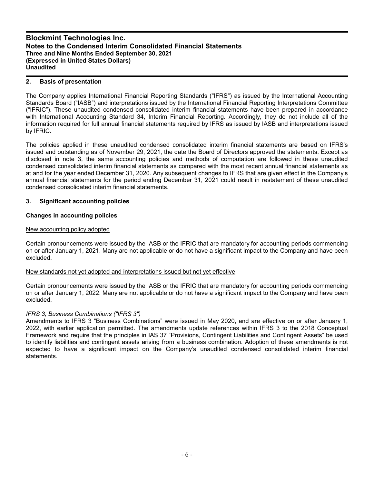## **2. Basis of presentation**

The Company applies International Financial Reporting Standards ("IFRS") as issued by the International Accounting Standards Board ("IASB") and interpretations issued by the International Financial Reporting Interpretations Committee ("IFRIC"). These unaudited condensed consolidated interim financial statements have been prepared in accordance with International Accounting Standard 34, Interim Financial Reporting. Accordingly, they do not include all of the information required for full annual financial statements required by IFRS as issued by IASB and interpretations issued by IFRIC.

The policies applied in these unaudited condensed consolidated interim financial statements are based on IFRS's issued and outstanding as of November 29, 2021, the date the Board of Directors approved the statements. Except as disclosed in note 3, the same accounting policies and methods of computation are followed in these unaudited condensed consolidated interim financial statements as compared with the most recent annual financial statements as at and for the year ended December 31, 2020. Any subsequent changes to IFRS that are given effect in the Company's annual financial statements for the period ending December 31, 2021 could result in restatement of these unaudited condensed consolidated interim financial statements.

## **3. Significant accounting policies**

# **Changes in accounting policies**

### New accounting policy adopted

Certain pronouncements were issued by the IASB or the IFRIC that are mandatory for accounting periods commencing on or after January 1, 2021. Many are not applicable or do not have a significant impact to the Company and have been excluded.

### New standards not yet adopted and interpretations issued but not yet effective

Certain pronouncements were issued by the IASB or the IFRIC that are mandatory for accounting periods commencing on or after January 1, 2022. Many are not applicable or do not have a significant impact to the Company and have been excluded.

# *IFRS 3, Business Combinations ("IFRS 3")*

Amendments to IFRS 3 "Business Combinations" were issued in May 2020, and are effective on or after January 1, 2022, with earlier application permitted. The amendments update references within IFRS 3 to the 2018 Conceptual Framework and require that the principles in IAS 37 "Provisions, Contingent Liabilities and Contingent Assets" be used to identify liabilities and contingent assets arising from a business combination. Adoption of these amendments is not expected to have a significant impact on the Company's unaudited condensed consolidated interim financial statements.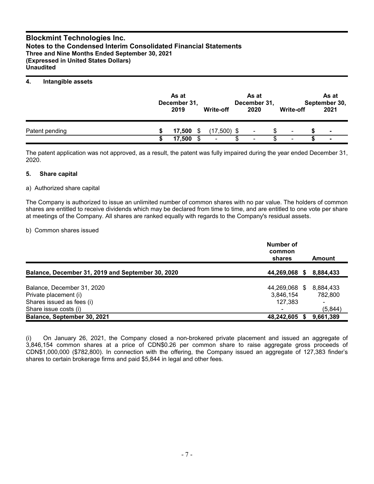### **4. Intangible assets**

|                | As at<br>December 31,<br>2019 |    | <b>Write-off</b> | As at<br>December 31,<br>2020 | Write-off | As at<br>September 30,<br>2021 |
|----------------|-------------------------------|----|------------------|-------------------------------|-----------|--------------------------------|
| Patent pending | 17,500                        | S. | $(17,500)$ \$    | ۰                             | ۰         | $\blacksquare$                 |
|                | 17,500                        |    | $\blacksquare$   | ۰                             | $\sim$    | $\blacksquare$                 |

The patent application was not approved, as a result, the patent was fully impaired during the year ended December 31, 2020.

#### **5. Share capital**

#### a) Authorized share capital

The Company is authorized to issue an unlimited number of common shares with no par value. The holders of common shares are entitled to receive dividends which may be declared from time to time, and are entitled to one vote per share at meetings of the Company. All shares are ranked equally with regards to the Company's residual assets.

#### b) Common shares issued

|                                                   | Number of<br>common<br>shares |      | Amount    |
|---------------------------------------------------|-------------------------------|------|-----------|
| Balance, December 31, 2019 and September 30, 2020 | 44,269,068                    | - 56 | 8,884,433 |
| Balance, December 31, 2020                        | 44,269,068 \$                 |      | 8,884,433 |
| Private placement (i)                             | 3,846,154                     |      | 782.800   |
| Shares issued as fees (i)                         | 127,383                       |      | -         |
| Share issue costs (i)                             | ۰                             |      | (5,844)   |
| Balance, September 30, 2021                       | 48,242,605                    |      | 9,661,389 |

(i) On January 26, 2021, the Company closed a non-brokered private placement and issued an aggregate of 3,846,154 common shares at a price of CDN\$0.26 per common share to raise aggregate gross proceeds of CDN\$1,000,000 (\$782,800). In connection with the offering, the Company issued an aggregate of 127,383 finder's shares to certain brokerage firms and paid \$5,844 in legal and other fees.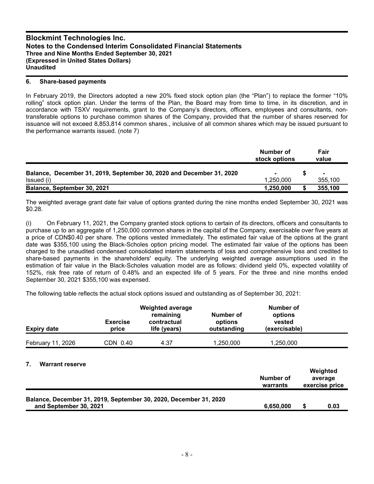#### **6. Share-based payments**

In February 2019, the Directors adopted a new 20% fixed stock option plan (the "Plan") to replace the former "10% rolling" stock option plan. Under the terms of the Plan, the Board may from time to time, in its discretion, and in accordance with TSXV requirements, grant to the Company's directors, officers, employees and consultants, nontransferable options to purchase common shares of the Company, provided that the number of shares reserved for issuance will not exceed 8,853,814 common shares., inclusive of all common shares which may be issued pursuant to the performance warrants issued. (note 7)

|                                                                      | Number of<br>stock options | Fair<br>value |
|----------------------------------------------------------------------|----------------------------|---------------|
| Balance, December 31, 2019, September 30, 2020 and December 31, 2020 |                            |               |
| Issued (i)                                                           | 1.250.000                  | 355,100       |
| Balance, September 30, 2021                                          | 1,250,000                  | 355,100       |

The weighted average grant date fair value of options granted during the nine months ended September 30, 2021 was \$0.28.

(i) On February 11, 2021, the Company granted stock options to certain of its directors, officers and consultants to purchase up to an aggregate of 1,250,000 common shares in the capital of the Company, exercisable over five years at a price of CDN\$0.40 per share. The options vested immediately. The estimated fair value of the options at the grant date was \$355,100 using the Black-Scholes option pricing model. The estimated fair value of the options has been charged to the unaudited condensed consolidated interim statements of loss and comprehensive loss and credited to share-based payments in the shareholders' equity. The underlying weighted average assumptions used in the estimation of fair value in the Black-Scholes valuation model are as follows: dividend yield 0%, expected volatility of 152%, risk free rate of return of 0.48% and an expected life of 5 years. For the three and nine months ended September 30, 2021 \$355,100 was expensed.

The following table reflects the actual stock options issued and outstanding as of September 30, 2021:

| <b>Expiry date</b> | <b>Weighted average</b><br>remaining<br><b>Exercise</b><br>contractual<br>life (years)<br>price |      | Number of<br>options<br>outstanding | Number of<br>options<br>vested<br>(exercisable) |  |
|--------------------|-------------------------------------------------------------------------------------------------|------|-------------------------------------|-------------------------------------------------|--|
| February 11, 2026  | CDN 0.40                                                                                        | 4.37 | 1,250,000                           | 1,250,000                                       |  |
|                    |                                                                                                 |      |                                     |                                                 |  |

#### **7. Warrant reserve**

|                                                                                             | Number of<br>warrants | Weighted<br>average<br>exercise price |
|---------------------------------------------------------------------------------------------|-----------------------|---------------------------------------|
| Balance, December 31, 2019, September 30, 2020, December 31, 2020<br>and September 30, 2021 | 6.650.000             | 0.03                                  |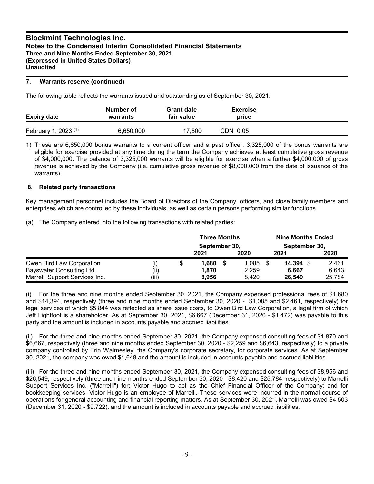### **7. Warrants reserve (continued)**

The following table reflects the warrants issued and outstanding as of September 30, 2021:

| <b>Expiry date</b>              | Number of<br>warrants | <b>Grant date</b><br>fair value | <b>Exercise</b><br>price |  |
|---------------------------------|-----------------------|---------------------------------|--------------------------|--|
| February 1, 2023 <sup>(1)</sup> | 6,650,000             | 17.500                          | CDN 0.05                 |  |

1) These are 6,650,000 bonus warrants to a current officer and a past officer. 3,325,000 of the bonus warrants are eligible for exercise provided at any time during the term the Company achieves at least cumulative gross revenue of \$4,000,000. The balance of 3,325,000 warrants will be eligible for exercise when a further \$4,000,000 of gross revenue is achieved by the Company (i.e. cumulative gross revenue of \$8,000,000 from the date of issuance of the warrants)

## **8. Related party transactions**

Key management personnel includes the Board of Directors of the Company, officers, and close family members and enterprises which are controlled by these individuals, as well as certain persons performing similar functions.

(a) The Company entered into the following transactions with related parties:

|                                |       |   | <b>Three Months</b><br>September 30, |  |       | <b>Nine Months Ended</b><br>September 30, |        |
|--------------------------------|-------|---|--------------------------------------|--|-------|-------------------------------------------|--------|
|                                |       |   | 2021                                 |  | 2020  | 2021                                      | 2020   |
| Owen Bird Law Corporation      | (i)   | D | 1.680                                |  | 1.085 | $14,394$ \$                               | 2,461  |
| Bayswater Consulting Ltd.      | (ii)  |   | 1,870                                |  | 2,259 | 6.667                                     | 6,643  |
| Marrelli Support Services Inc. | (iii) |   | 8.956                                |  | 8.420 | 26.549                                    | 25,784 |

(i) For the three and nine months ended September 30, 2021, the Company expensed professional fees of \$1,680 and \$14,394, respectively (three and nine months ended September 30, 2020 - \$1,085 and \$2,461, respectively) for legal services of which \$5,844 was reflected as share issue costs, to Owen Bird Law Corporation, a legal firm of which Jeff Lightfoot is a shareholder. As at September 30, 2021, \$6,667 (December 31, 2020 - \$1,472) was payable to this party and the amount is included in accounts payable and accrued liabilities.

(ii) For the three and nine months ended September 30, 2021, the Company expensed consulting fees of \$1,870 and \$6,667, respectively (three and nine months ended September 30, 2020 - \$2,259 and \$6,643, respectively) to a private company controlled by Erin Walmesley, the Company's corporate secretary, for corporate services. As at September 30, 2021, the company was owed \$1,648 and the amount is included in accounts payable and accrued liabilities.

(iii) For the three and nine months ended September 30, 2021, the Company expensed consulting fees of \$8,956 and \$26,549, respectively (three and nine months ended September 30, 2020 - \$8,420 and \$25,784, respectively) to Marrelli Support Services Inc. ("Marrelli") for: Victor Hugo to act as the Chief Financial Officer of the Company; and for bookkeeping services. Victor Hugo is an employee of Marrelli. These services were incurred in the normal course of operations for general accounting and financial reporting matters. As at September 30, 2021, Marrelli was owed \$4,503 (December 31, 2020 - \$9,722), and the amount is included in accounts payable and accrued liabilities.